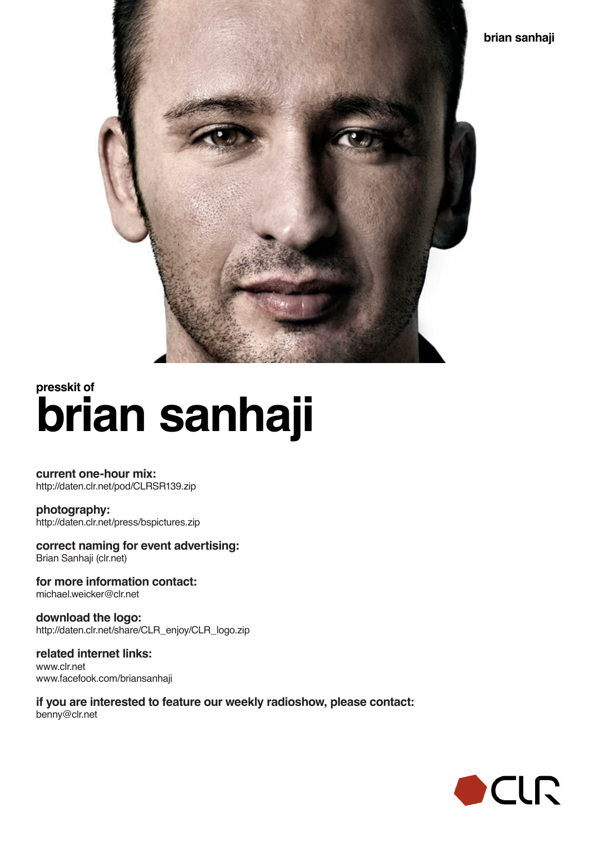

## **brian sanhaji presskit of**

**current one-hour mix:** http://daten.clr.net/pod/CLRSR139.zip

**photography:** http://daten.clr.net/press/bspictures.zip

**correct naming for event advertising:** Brian Sanhaji (clr.net)

**for more information contact:** michael.weicker@clr.net

**download the logo:** http://daten.clr.net/share/CLR\_enjoy/CLR\_logo.zip

**related internet links:** www.clr.net www.facefook.com/briansanhaji

**if you are interested to feature our weekly radioshow, please contact:** benny@clr.net

![](_page_0_Picture_9.jpeg)